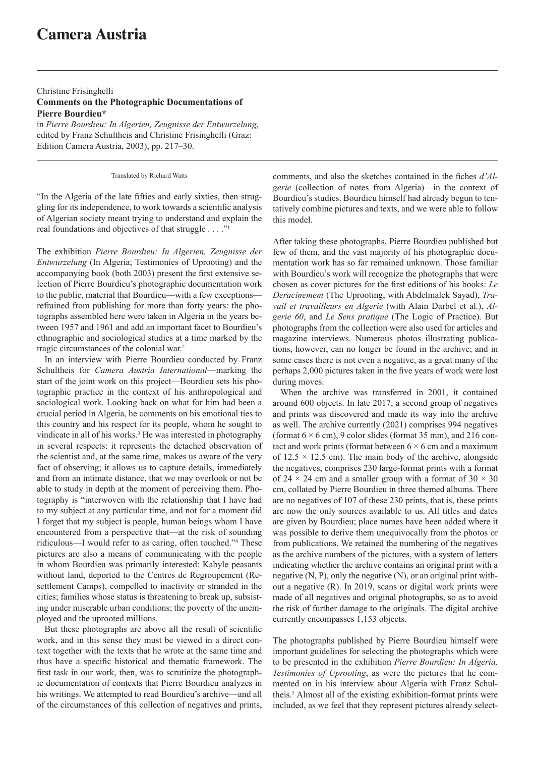## **Camera Austria**

## Christine Frisinghelli **Comments on the Photographic Documentations of Pierre Bourdieu\***

in *Pierre Bourdieu: In Algerien, Zeugnisse der Entwurzelung*, edited by Franz Schultheis and Christine Frisinghelli (Graz: Edition Camera Austria, 2003), pp. 217–30.

Translated by Richard Watts

"In the Algeria of the late fifties and early sixties, then struggling for its independence, to work towards a scientific analysis of Algerian society meant trying to understand and explain the real foundations and objectives of that struggle  $\dots$ ."

The exhibition *Pierre Bourdieu: In Algerien, Zeugnisse der Entwurzelung* (In Algeria; Testimonies of Uprooting) and the accompanying book (both 2003) present the first extensive selection of Pierre Bourdieu's photographic documentation work to the public, material that Bourdieu—with a few exceptions refrained from publishing for more than forty years: the photographs assembled here were taken in Algeria in the years between 1957 and 1961 and add an important facet to Bourdieu's ethnographic and sociological studies at a time marked by the tragic circumstances of the colonial war.<sup>2</sup>

In an interview with Pierre Bourdieu conducted by Franz Schultheis for *Camera Austria International*—marking the start of the joint work on this project—Bourdieu sets his photographic practice in the context of his anthropological and sociological work. Looking back on what for him had been a crucial period in Algeria, he comments on his emotional ties to this country and his respect for its people, whom he sought to vindicate in all of his works.<sup>3</sup> He was interested in photography in several respects: it represents the detached observation of the scientist and, at the same time, makes us aware of the very fact of observing; it allows us to capture details, immediately and from an intimate distance, that we may overlook or not be able to study in depth at the moment of perceiving them. Photography is "interwoven with the relationship that I have had to my subject at any particular time, and not for a moment did I forget that my subject is people, human beings whom I have encountered from a perspective that—at the risk of sounding ridiculous—I would refer to as caring, often touched."<sup>4</sup> These pictures are also a means of communicating with the people in whom Bourdieu was primarily interested: Kabyle peasants without land, deported to the Centres de Regroupement (Resettlement Camps), compelled to inactivity or stranded in the cities; families whose status is threatening to break up, subsisting under miserable urban conditions; the poverty of the unemployed and the uprooted millions.

But these photographs are above all the result of scientific work, and in this sense they must be viewed in a direct context together with the texts that he wrote at the same time and thus have a specific historical and thematic framework. The first task in our work, then, was to scrutinize the photographic documentation of contexts that Pierre Bourdieu analyzes in his writings. We attempted to read Bourdieu's archive—and all of the circumstances of this collection of negatives and prints,

comments, and also the sketches contained in the fiches *d'Algerie* (collection of notes from Algeria)—in the context of Bourdieu's studies. Bourdieu himself had already begun to tentatively combine pictures and texts, and we were able to follow this model.

After taking these photographs, Pierre Bourdieu published but few of them, and the vast majority of his photographic documentation work has so far remained unknown. Those familiar with Bourdieu's work will recognize the photographs that were chosen as cover pictures for the first editions of his books: *Le Deracinement* (The Uprooting, with Abdelmalek Sayad), *Travail et travailleurs en Algerie* (with Alain Darbel et al.), *Algerie 60*, and *Le Sens pratique* (The Logic of Practice). But photographs from the collection were also used for articles and magazine interviews. Numerous photos illustrating publications, however, can no longer be found in the archive; and in some cases there is not even a negative, as a great many of the perhaps 2,000 pictures taken in the five years of work were lost during moves.

When the archive was transferred in 2001, it contained around 600 objects. In late 2017, a second group of negatives and prints was discovered and made its way into the archive as well. The archive currently (2021) comprises 994 negatives (format  $6 \times 6$  cm), 9 color slides (format 35 mm), and 216 contact and work prints (format between  $6 \times 6$  cm and a maximum of  $12.5 \times 12.5$  cm). The main body of the archive, alongside the negatives, comprises 230 large-format prints with a format of 24  $\times$  24 cm and a smaller group with a format of 30  $\times$  30 cm, collated by Pierre Bourdieu in three themed albums. There are no negatives of 107 of these 230 prints, that is, these prints are now the only sources available to us. All titles and dates are given by Bourdieu; place names have been added where it was possible to derive them unequivocally from the photos or from publications. We retained the numbering of the negatives as the archive numbers of the pictures, with a system of letters indicating whether the archive contains an original print with a negative (N, P), only the negative (N), or an original print without a negative (R). In 2019, scans or digital work prints were made of all negatives and original photographs, so as to avoid the risk of further damage to the originals. The digital archive currently encompasses 1,153 objects.

The photographs published by Pierre Bourdieu himself were important guidelines for selecting the photographs which were to be presented in the exhibition *Pierre Bourdieu: In Algeria, Testimonies of Uprooting*, as were the pictures that he commented on in his interview about Algeria with Franz Schultheis.5 Almost all of the existing exhibition-format prints were included, as we feel that they represent pictures already select-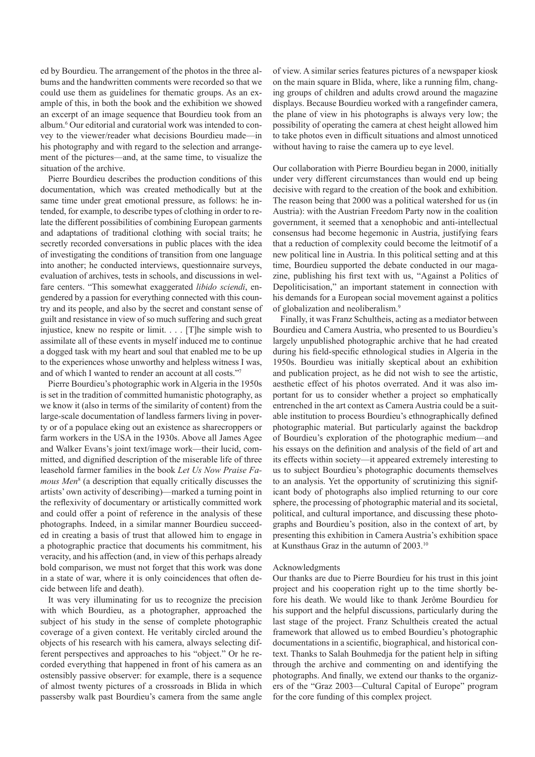ed by Bourdieu. The arrangement of the photos in the three albums and the handwritten comments were recorded so that we could use them as guidelines for thematic groups. As an example of this, in both the book and the exhibition we showed an excerpt of an image sequence that Bourdieu took from an album.6 Our editorial and curatorial work was intended to convey to the viewer/reader what decisions Bourdieu made—in his photography and with regard to the selection and arrangement of the pictures—and, at the same time, to visualize the situation of the archive.

Pierre Bourdieu describes the production conditions of this documentation, which was created methodically but at the same time under great emotional pressure, as follows: he intended, for example, to describe types of clothing in order to relate the different possibilities of combining European garments and adaptations of traditional clothing with social traits; he secretly recorded conversations in public places with the idea of investigating the conditions of transition from one language into another; he conducted interviews, questionnaire surveys, evaluation of archives, tests in schools, and discussions in welfare centers. "This somewhat exaggerated *libido sciendi*, engendered by a passion for everything connected with this country and its people, and also by the secret and constant sense of guilt and resistance in view of so much suffering and such great injustice, knew no respite or limit. . . . [T]he simple wish to assimilate all of these events in myself induced me to continue a dogged task with my heart and soul that enabled me to be up to the experiences whose unworthy and helpless witness I was, and of which I wanted to render an account at all costs."7

Pierre Bourdieu's photographic work in Algeria in the 1950s is set in the tradition of committed humanistic photography, as we know it (also in terms of the similarity of content) from the large-scale documentation of landless farmers living in poverty or of a populace eking out an existence as sharecroppers or farm workers in the USA in the 1930s. Above all James Agee and Walker Evans's joint text/image work—their lucid, committed, and dignified description of the miserable life of three leasehold farmer families in the book *Let Us Now Praise Famous Men*<sup>8</sup> (a description that equally critically discusses the artists' own activity of describing)—marked a turning point in the reflexivity of documentary or artistically committed work and could offer a point of reference in the analysis of these photographs. Indeed, in a similar manner Bourdieu succeeded in creating a basis of trust that allowed him to engage in a photographic practice that documents his commitment, his veracity, and his affection (and, in view of this perhaps already bold comparison, we must not forget that this work was done in a state of war, where it is only coincidences that often decide between life and death).

It was very illuminating for us to recognize the precision with which Bourdieu, as a photographer, approached the subject of his study in the sense of complete photographic coverage of a given context. He veritably circled around the objects of his research with his camera, always selecting different perspectives and approaches to his "object." Or he recorded everything that happened in front of his camera as an ostensibly passive observer: for example, there is a sequence of almost twenty pictures of a crossroads in Blida in which passersby walk past Bourdieu's camera from the same angle of view. A similar series features pictures of a newspaper kiosk on the main square in Blida, where, like a running film, changing groups of children and adults crowd around the magazine displays. Because Bourdieu worked with a rangefinder camera, the plane of view in his photographs is always very low; the possibility of operating the camera at chest height allowed him to take photos even in difficult situations and almost unnoticed without having to raise the camera up to eye level.

Our collaboration with Pierre Bourdieu began in 2000, initially under very different circumstances than would end up being decisive with regard to the creation of the book and exhibition. The reason being that 2000 was a political watershed for us (in Austria): with the Austrian Freedom Party now in the coalition government, it seemed that a xenophobic and anti-intellectual consensus had become hegemonic in Austria, justifying fears that a reduction of complexity could become the leitmotif of a new political line in Austria. In this political setting and at this time, Bourdieu supported the debate conducted in our magazine, publishing his first text with us, "Against a Politics of Depoliticisation," an important statement in connection with his demands for a European social movement against a politics of globalization and neoliberalism.9

Finally, it was Franz Schultheis, acting as a mediator between Bourdieu and Camera Austria, who presented to us Bourdieu's largely unpublished photographic archive that he had created during his field-specific ethnological studies in Algeria in the 1950s. Bourdieu was initially skeptical about an exhibition and publication project, as he did not wish to see the artistic, aesthetic effect of his photos overrated. And it was also important for us to consider whether a project so emphatically entrenched in the art context as Camera Austria could be a suitable institution to process Bourdieu's ethnographically defined photographic material. But particularly against the backdrop of Bourdieu's exploration of the photographic medium—and his essays on the definition and analysis of the field of art and its effects within society—it appeared extremely interesting to us to subject Bourdieu's photographic documents themselves to an analysis. Yet the opportunity of scrutinizing this significant body of photographs also implied returning to our core sphere, the processing of photographic material and its societal, political, and cultural importance, and discussing these photographs and Bourdieu's position, also in the context of art, by presenting this exhibition in Camera Austria's exhibition space at Kunsthaus Graz in the autumn of 2003.10

## Acknowledgments

Our thanks are due to Pierre Bourdieu for his trust in this joint project and his cooperation right up to the time shortly before his death. We would like to thank Jerôme Bourdieu for his support and the helpful discussions, particularly during the last stage of the project. Franz Schultheis created the actual framework that allowed us to embed Bourdieu's photographic documentations in a scientific, biographical, and historical context. Thanks to Salah Bouhmedja for the patient help in sifting through the archive and commenting on and identifying the photographs. And finally, we extend our thanks to the organizers of the "Graz 2003—Cultural Capital of Europe" program for the core funding of this complex project.